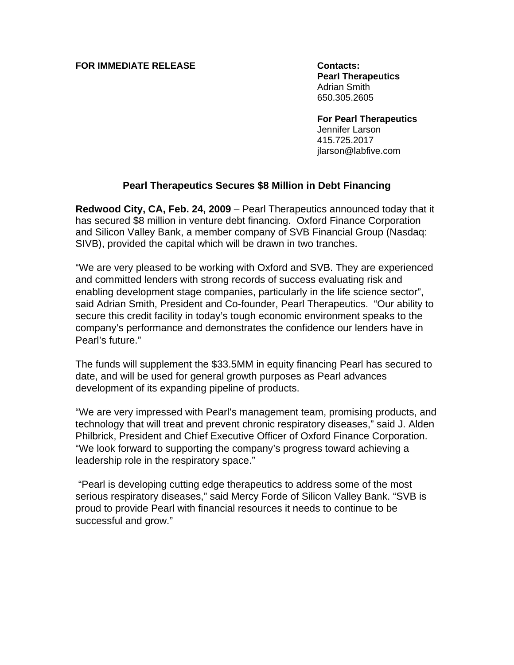#### **FOR IMMEDIATE RELEASE CONTACTS:**

 **Pearl Therapeutics** Adrian Smith 650.305.2605

**For Pearl Therapeutics** 

 Jennifer Larson 415.725.2017 jlarson@labfive.com

# **Pearl Therapeutics Secures \$8 Million in Debt Financing**

**Redwood City, CA, Feb. 24, 2009** – Pearl Therapeutics announced today that it has secured \$8 million in venture debt financing. Oxford Finance Corporation and Silicon Valley Bank, a member company of SVB Financial Group (Nasdaq: SIVB), provided the capital which will be drawn in two tranches.

"We are very pleased to be working with Oxford and SVB. They are experienced and committed lenders with strong records of success evaluating risk and enabling development stage companies, particularly in the life science sector", said Adrian Smith, President and Co-founder, Pearl Therapeutics. "Our ability to secure this credit facility in today's tough economic environment speaks to the company's performance and demonstrates the confidence our lenders have in Pearl's future."

The funds will supplement the \$33.5MM in equity financing Pearl has secured to date, and will be used for general growth purposes as Pearl advances development of its expanding pipeline of products.

"We are very impressed with Pearl's management team, promising products, and technology that will treat and prevent chronic respiratory diseases," said J. Alden Philbrick, President and Chief Executive Officer of Oxford Finance Corporation. "We look forward to supporting the company's progress toward achieving a leadership role in the respiratory space."

 "Pearl is developing cutting edge therapeutics to address some of the most serious respiratory diseases," said Mercy Forde of Silicon Valley Bank. "SVB is proud to provide Pearl with financial resources it needs to continue to be successful and grow."